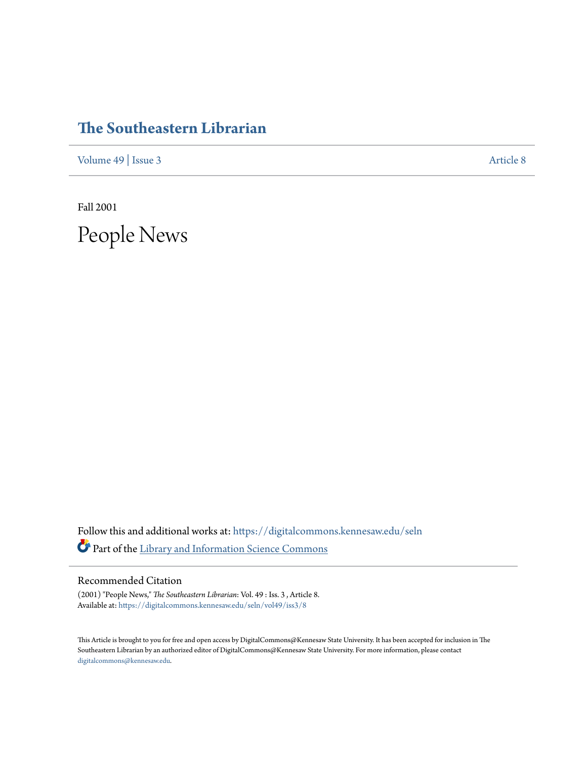## **[The Southeastern Librarian](https://digitalcommons.kennesaw.edu/seln?utm_source=digitalcommons.kennesaw.edu%2Fseln%2Fvol49%2Fiss3%2F8&utm_medium=PDF&utm_campaign=PDFCoverPages)**

[Volume 49](https://digitalcommons.kennesaw.edu/seln/vol49?utm_source=digitalcommons.kennesaw.edu%2Fseln%2Fvol49%2Fiss3%2F8&utm_medium=PDF&utm_campaign=PDFCoverPages) | [Issue 3](https://digitalcommons.kennesaw.edu/seln/vol49/iss3?utm_source=digitalcommons.kennesaw.edu%2Fseln%2Fvol49%2Fiss3%2F8&utm_medium=PDF&utm_campaign=PDFCoverPages) [Article 8](https://digitalcommons.kennesaw.edu/seln/vol49/iss3/8?utm_source=digitalcommons.kennesaw.edu%2Fseln%2Fvol49%2Fiss3%2F8&utm_medium=PDF&utm_campaign=PDFCoverPages)

Fall 2001

People News

Follow this and additional works at: [https://digitalcommons.kennesaw.edu/seln](https://digitalcommons.kennesaw.edu/seln?utm_source=digitalcommons.kennesaw.edu%2Fseln%2Fvol49%2Fiss3%2F8&utm_medium=PDF&utm_campaign=PDFCoverPages) Part of the [Library and Information Science Commons](http://network.bepress.com/hgg/discipline/1018?utm_source=digitalcommons.kennesaw.edu%2Fseln%2Fvol49%2Fiss3%2F8&utm_medium=PDF&utm_campaign=PDFCoverPages)

## Recommended Citation

(2001) "People News," *The Southeastern Librarian*: Vol. 49 : Iss. 3 , Article 8. Available at: [https://digitalcommons.kennesaw.edu/seln/vol49/iss3/8](https://digitalcommons.kennesaw.edu/seln/vol49/iss3/8?utm_source=digitalcommons.kennesaw.edu%2Fseln%2Fvol49%2Fiss3%2F8&utm_medium=PDF&utm_campaign=PDFCoverPages)

This Article is brought to you for free and open access by DigitalCommons@Kennesaw State University. It has been accepted for inclusion in The Southeastern Librarian by an authorized editor of DigitalCommons@Kennesaw State University. For more information, please contact [digitalcommons@kennesaw.edu.](mailto:digitalcommons@kennesaw.edu)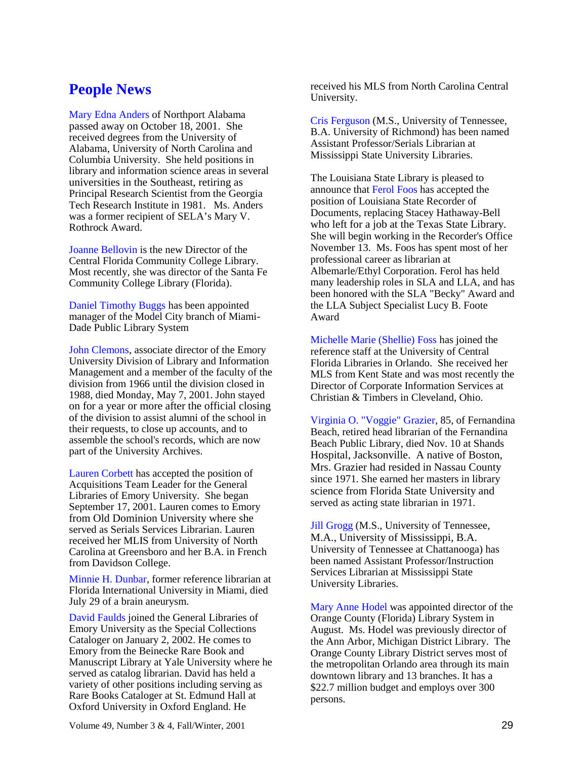## **People News**

Mary Edna Anders of Northport Alabama passed away on October 18, 2001. She received degrees from the University of Alabama, University of North Carolina and Columbia University. She held positions in library and information science areas in several universities in the Southeast, retiring as Principal Research Scientist from the Georgia Tech Research Institute in 1981. Ms. Anders was a former recipient of SELA's Mary V. Rothrock Award.

Joanne Bellovin is the new Director of the Central Florida Community College Library. Most recently, she was director of the Santa Fe Community College Library (Florida).

Daniel Timothy Buggs has been appointed manager of the Model City branch of Miami-Dade Public Library System

John Clemons, associate director of the Emory University Division of Library and Information Management and a member of the faculty of the division from 1966 until the division closed in 1988, died Monday, May 7, 2001. John stayed on for a year or more after the official closing of the division to assist alumni of the school in their requests, to close up accounts, and to assemble the school's records, which are now part of the University Archives.

Lauren Corbett has accepted the position of Acquisitions Team Leader for the General Libraries of Emory University. She began September 17, 2001. Lauren comes to Emory from Old Dominion University where she served as Serials Services Librarian. Lauren received her MLIS from University of North Carolina at Greensboro and her B.A. in French from Davidson College.

Minnie H. Dunbar, former reference librarian at Florida International University in Miami, died July 29 of a brain aneurysm.

David Faulds joined the General Libraries of Emory University as the Special Collections Cataloger on January 2, 2002. He comes to Emory from the Beinecke Rare Book and Manuscript Library at Yale University where he served as catalog librarian. David has held a variety of other positions including serving as Rare Books Cataloger at St. Edmund Hall at Oxford University in Oxford England. He

received his MLS from North Carolina Central University.

Cris Ferguson (M.S., University of Tennessee, B.A. University of Richmond) has been named Assistant Professor/Serials Librarian at Mississippi State University Libraries.

The Louisiana State Library is pleased to announce that Ferol Foos has accepted the position of Louisiana State Recorder of Documents, replacing Stacey Hathaway-Bell who left for a job at the Texas State Library. She will begin working in the Recorder's Office November 13. Ms. Foos has spent most of her professional career as librarian at Albemarle/Ethyl Corporation. Ferol has held many leadership roles in SLA and LLA, and has been honored with the SLA "Becky" Award and the LLA Subject Specialist Lucy B. Foote Award

Michelle Marie (Shellie) Foss has joined the reference staff at the University of Central Florida Libraries in Orlando. She received her MLS from Kent State and was most recently the Director of Corporate Information Services at Christian & Timbers in Cleveland, Ohio.

Virginia O. "Voggie" Grazier, 85, of Fernandina Beach, retired head librarian of the Fernandina Beach Public Library, died Nov. 10 at Shands Hospital, Jacksonville. A native of Boston, Mrs. Grazier had resided in Nassau County since 1971. She earned her masters in library science from Florida State University and served as acting state librarian in 1971.

Jill Grogg (M.S., University of Tennessee, M.A., University of Mississippi, B.A. University of Tennessee at Chattanooga) has been named Assistant Professor/Instruction Services Librarian at Mississippi State University Libraries.

Mary Anne Hodel was appointed director of the Orange County (Florida) Library System in August. Ms. Hodel was previously director of the Ann Arbor, Michigan District Library. The Orange County Library District serves most of the metropolitan Orlando area through its main downtown library and 13 branches. It has a \$22.7 million budget and employs over 300 persons.